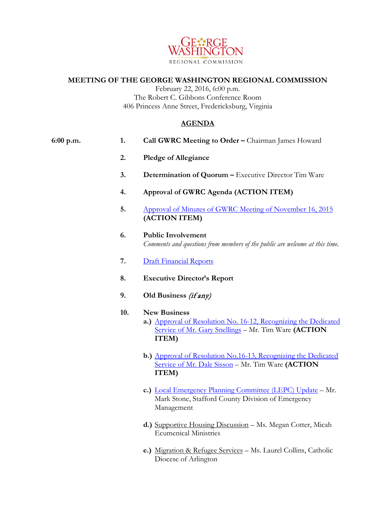

## **MEETING OF THE GEORGE WASHINGTON REGIONAL COMMISSION**

February 22, 2016, 6:00 p.m. The Robert C. Gibbons Conference Room 406 Princess Anne Street, Fredericksburg, Virginia

## **AGENDA**

| 6:00 p.m. | 1.  | Call GWRC Meeting to Order - Chairman James Howard                                                                                                      |
|-----------|-----|---------------------------------------------------------------------------------------------------------------------------------------------------------|
|           | 2.  | <b>Pledge of Allegiance</b>                                                                                                                             |
|           | 3.  | Determination of Quorum - Executive Director Tim Ware                                                                                                   |
|           | 4.  | Approval of GWRC Agenda (ACTION ITEM)                                                                                                                   |
|           | 5.  | Approval of Minutes of GWRC Meeting of November 16, 2015<br>(ACTION ITEM)                                                                               |
|           | 6.  | <b>Public Involvement</b><br>Comments and questions from members of the public are welcome at this time.                                                |
|           | 7.  | <b>Draft Financial Reports</b>                                                                                                                          |
|           | 8.  | <b>Executive Director's Report</b>                                                                                                                      |
|           | 9.  | Old Business (if any)                                                                                                                                   |
|           | 10. | <b>New Business</b><br>a.) Approval of Resolution No. 16-12, Recognizing the Dedicated<br>Service of Mr. Gary Snellings - Mr. Tim Ware (ACTION<br>ITEM) |
|           |     | b.) Approval of Resolution No.16-13, Recognizing the Dedicated<br>Service of Mr. Dale Sisson - Mr. Tim Ware (ACTION<br>ITEM)                            |
|           |     | c.) Local Emergency Planning Committee (LEPC) Update - Mr.<br>Mark Stone, Stafford County Division of Emergency                                         |

Management

- **d.)** Supportive Housing Discussion Ms. Megan Cotter, Micah Ecumenical Ministries
- **e.)** Migration & Refugee Services Ms. Laurel Collins, Catholic Diocese of Arlington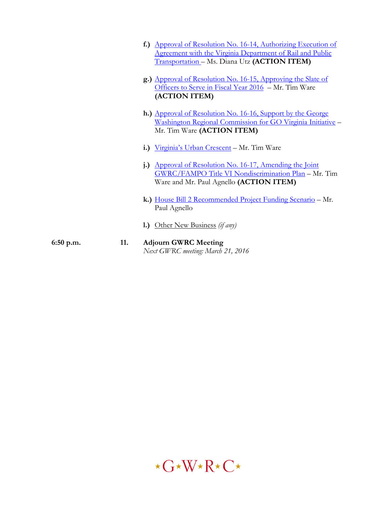|             |     | f.) Approval of Resolution No. 16-14, Authorizing Execution of<br><u>Agreement with the Virginia Department of Rail and Public</u><br>Transportation - Ms. Diana Utz (ACTION ITEM) |
|-------------|-----|------------------------------------------------------------------------------------------------------------------------------------------------------------------------------------|
|             |     | g.) Approval of Resolution No. 16-15, Approving the Slate of<br>Officers to Serve in Fiscal Year 2016 – Mr. Tim Ware<br>(ACTION ITEM)                                              |
|             |     | h.) Approval of Resolution No. 16-16, Support by the George<br><u> Washington Regional Commission for GO Virginia Initiative</u> -<br>Mr. Tim Ware (ACTION ITEM)                   |
|             |     | i.) Virginia's Urban Crescent – Mr. Tim Ware                                                                                                                                       |
|             | j.) | Approval of Resolution No. 16-17, Amending the Joint<br>GWRC/FAMPO Title VI Nondiscrimination Plan - Mr. Tim<br>Ware and Mr. Paul Agnello (ACTION ITEM)                            |
|             |     | k.) House Bill 2 Recommended Project Funding Scenario - Mr.<br>Paul Agnello                                                                                                        |
|             | 1.) | Other New Business (if any)                                                                                                                                                        |
| $6:50$ p.m. | 11. | <b>Adjourn GWRC Meeting</b><br>Next GWRC meeting: March 21, 2016                                                                                                                   |